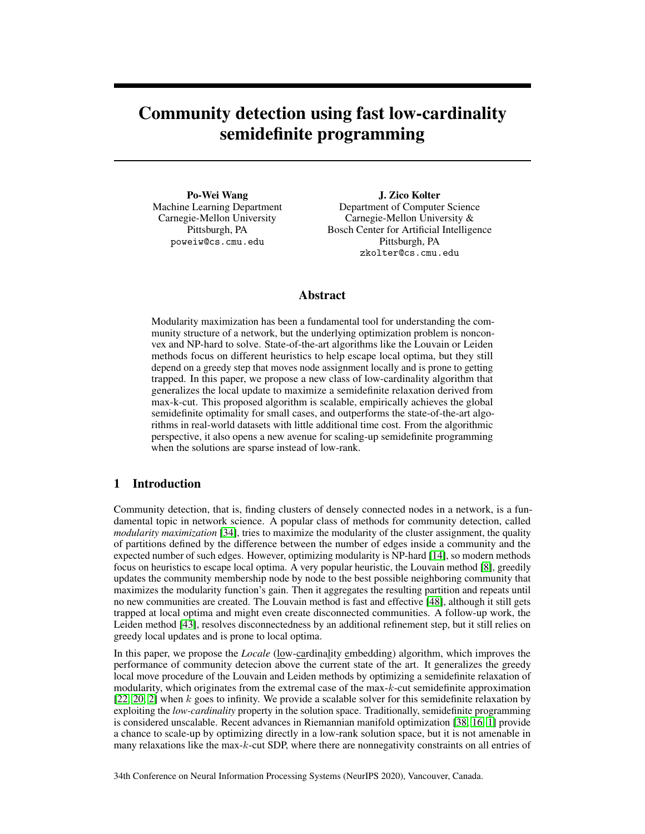# Community detection using fast low-cardinality semidefinite programming

Po-Wei Wang Machine Learning Department Carnegie-Mellon University Pittsburgh, PA poweiw@cs.cmu.edu

J. Zico Kolter Department of Computer Science Carnegie-Mellon University & Bosch Center for Artificial Intelligence Pittsburgh, PA zkolter@cs.cmu.edu

## Abstract

Modularity maximization has been a fundamental tool for understanding the community structure of a network, but the underlying optimization problem is nonconvex and NP-hard to solve. State-of-the-art algorithms like the Louvain or Leiden methods focus on different heuristics to help escape local optima, but they still depend on a greedy step that moves node assignment locally and is prone to getting trapped. In this paper, we propose a new class of low-cardinality algorithm that generalizes the local update to maximize a semidefinite relaxation derived from max-k-cut. This proposed algorithm is scalable, empirically achieves the global semidefinite optimality for small cases, and outperforms the state-of-the-art algorithms in real-world datasets with little additional time cost. From the algorithmic perspective, it also opens a new avenue for scaling-up semidefinite programming when the solutions are sparse instead of low-rank.

## 1 Introduction

Community detection, that is, finding clusters of densely connected nodes in a network, is a fundamental topic in network science. A popular class of methods for community detection, called *modularity maximization* [\[34\]](#page-10-0), tries to maximize the modularity of the cluster assignment, the quality of partitions defined by the difference between the number of edges inside a community and the expected number of such edges. However, optimizing modularity is NP-hard [\[14\]](#page-9-0), so modern methods focus on heuristics to escape local optima. A very popular heuristic, the Louvain method [\[8\]](#page-9-1), greedily updates the community membership node by node to the best possible neighboring community that maximizes the modularity function's gain. Then it aggregates the resulting partition and repeats until no new communities are created. The Louvain method is fast and effective [\[48\]](#page-11-0), although it still gets trapped at local optima and might even create disconnected communities. A follow-up work, the Leiden method [\[43\]](#page-10-1), resolves disconnectedness by an additional refinement step, but it still relies on greedy local updates and is prone to local optima.

In this paper, we propose the *Locale* (low-cardinality embedding) algorithm, which improves the performance of community detecion above the current state of the art. It generalizes the greedy local move procedure of the Louvain and Leiden methods by optimizing a semidefinite relaxation of modularity, which originates from the extremal case of the max-k-cut semidefinite approximation  $[22, 20, 2]$  $[22, 20, 2]$  $[22, 20, 2]$  $[22, 20, 2]$  $[22, 20, 2]$  when k goes to infinity. We provide a scalable solver for this semidefinite relaxation by exploiting the *low-cardinality* property in the solution space. Traditionally, semidefinite programming is considered unscalable. Recent advances in Riemannian manifold optimization [\[38,](#page-10-3) [16,](#page-9-4) [1\]](#page-9-5) provide a chance to scale-up by optimizing directly in a low-rank solution space, but it is not amenable in many relaxations like the max-k-cut SDP, where there are nonnegativity constraints on all entries of

34th Conference on Neural Information Processing Systems (NeurIPS 2020), Vancouver, Canada.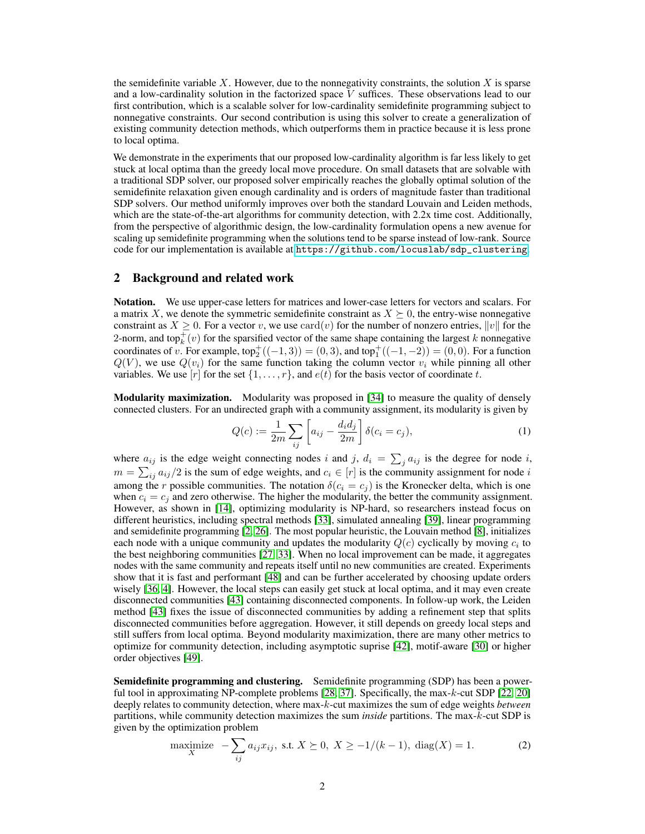the semidefinite variable X. However, due to the nonnegativity constraints, the solution X is sparse and a low-cardinality solution in the factorized space V suffices. These observations lead to our first contribution, which is a scalable solver for low-cardinality semidefinite programming subject to nonnegative constraints. Our second contribution is using this solver to create a generalization of existing community detection methods, which outperforms them in practice because it is less prone to local optima.

We demonstrate in the experiments that our proposed low-cardinality algorithm is far less likely to get stuck at local optima than the greedy local move procedure. On small datasets that are solvable with a traditional SDP solver, our proposed solver empirically reaches the globally optimal solution of the semidefinite relaxation given enough cardinality and is orders of magnitude faster than traditional SDP solvers. Our method uniformly improves over both the standard Louvain and Leiden methods, which are the state-of-the-art algorithms for community detection, with 2.2x time cost. Additionally, from the perspective of algorithmic design, the low-cardinality formulation opens a new avenue for scaling up semidefinite programming when the solutions tend to be sparse instead of low-rank. Source code for our implementation is available at [https://github.com/locuslab/sdp\\_clustering](https://github.com/locuslab/sdp_clustering).

## 2 Background and related work

Notation. We use upper-case letters for matrices and lower-case letters for vectors and scalars. For a matrix X, we denote the symmetric semidefinite constraint as  $X \succeq 0$ , the entry-wise nonnegative constraint as  $X \geq 0$ . For a vector v, we use  $card(v)$  for the number of nonzero entries,  $||v||$  for the 2-norm, and top $_k^+(v)$  for the sparsified vector of the same shape containing the largest k nonnegative coordinates of v. For example,  $top_2^+((-1,3)) = (0,3)$ , and  $top_1^+((-1,-2)) = (0,0)$ . For a function  $Q(V)$ , we use  $Q(v_i)$  for the same function taking the column vector  $v_i$  while pinning all other variables. We use  $[r]$  for the set  $\{1, \ldots, r\}$ , and  $e(t)$  for the basis vector of coordinate t.

**Modularity maximization.** Modularity was proposed in [\[34\]](#page-10-0) to measure the quality of densely connected clusters. For an undirected graph with a community assignment, its modularity is given by

<span id="page-1-0"></span>
$$
Q(c) := \frac{1}{2m} \sum_{ij} \left[ a_{ij} - \frac{d_i d_j}{2m} \right] \delta(c_i = c_j),
$$
 (1)

where  $a_{ij}$  is the edge weight connecting nodes i and j,  $d_i = \sum_j a_{ij}$  is the degree for node i,  $m = \sum_{ij} a_{ij}/2$  is the sum of edge weights, and  $c_i \in [r]$  is the community assignment for node i among the r possible communities. The notation  $\delta(c_i = c_j)$  is the Kronecker delta, which is one when  $c_i = c_j$  and zero otherwise. The higher the modularity, the better the community assignment. However, as shown in [\[14\]](#page-9-0), optimizing modularity is NP-hard, so researchers instead focus on different heuristics, including spectral methods [\[33\]](#page-10-4), simulated annealing [\[39\]](#page-10-5), linear programming and semidefinite programming [\[2,](#page-9-3) [26\]](#page-10-6). The most popular heuristic, the Louvain method [\[8\]](#page-9-1), initializes each node with a unique community and updates the modularity  $Q(c)$  cyclically by moving  $c_i$  to the best neighboring communities [\[27,](#page-10-7) [33\]](#page-10-4). When no local improvement can be made, it aggregates nodes with the same community and repeats itself until no new communities are created. Experiments show that it is fast and performant [\[48\]](#page-11-0) and can be further accelerated by choosing update orders wisely [\[36,](#page-10-8) [4\]](#page-9-6). However, the local steps can easily get stuck at local optima, and it may even create disconnected communities [\[43\]](#page-10-1) containing disconnected components. In follow-up work, the Leiden method [\[43\]](#page-10-1) fixes the issue of disconnected communities by adding a refinement step that splits disconnected communities before aggregation. However, it still depends on greedy local steps and still suffers from local optima. Beyond modularity maximization, there are many other metrics to optimize for community detection, including asymptotic suprise [\[42\]](#page-10-9), motif-aware [\[30\]](#page-10-10) or higher order objectives [\[49\]](#page-11-1).

Semidefinite programming and clustering. Semidefinite programming (SDP) has been a powerful tool in approximating NP-complete problems [\[28,](#page-10-11) [37\]](#page-10-12). Specifically, the max-k-cut SDP [\[22,](#page-10-2) [20\]](#page-9-2) deeply relates to community detection, where max-k-cut maximizes the sum of edge weights *between* partitions, while community detection maximizes the sum *inside* partitions. The max-k-cut SDP is given by the optimization problem

maximize 
$$
-\sum_{ij} a_{ij} x_{ij}
$$
, s.t.  $X \succeq 0$ ,  $X \ge -1/(k-1)$ , diag $(X) = 1$ . (2)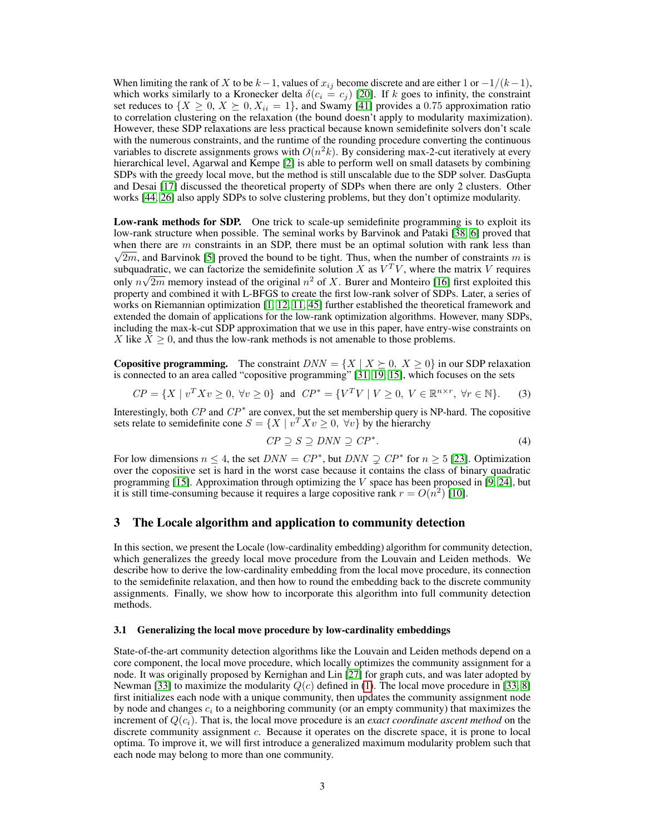When limiting the rank of X to be  $k-1$ , values of  $x_{ij}$  become discrete and are either 1 or  $-1/(k-1)$ , which works similarly to a Kronecker delta  $\delta(c_i = c_j)$  [\[20\]](#page-9-2). If k goes to infinity, the constraint set reduces to  $\{X \geq 0, X \succeq 0, X_{ii} = 1\}$ , and Swamy [\[41\]](#page-10-13) provides a 0.75 approximation ratio to correlation clustering on the relaxation (the bound doesn't apply to modularity maximization). However, these SDP relaxations are less practical because known semidefinite solvers don't scale with the numerous constraints, and the runtime of the rounding procedure converting the continuous variables to discrete assignments grows with  $O(n^2k)$ . By considering max-2-cut iteratively at every hierarchical level, Agarwal and Kempe [\[2\]](#page-9-3) is able to perform well on small datasets by combining SDPs with the greedy local move, but the method is still unscalable due to the SDP solver. DasGupta and Desai [\[17\]](#page-9-7) discussed the theoretical property of SDPs when there are only 2 clusters. Other works [\[44,](#page-11-2) [26\]](#page-10-6) also apply SDPs to solve clustering problems, but they don't optimize modularity.

Low-rank methods for SDP. One trick to scale-up semidefinite programming is to exploit its low-rank structure when possible. The seminal works by Barvinok and Pataki [\[38,](#page-10-3) [6\]](#page-9-8) proved that when there are  $m$  constraints in an SDP, there must be an optimal solution with rank less than  $\sqrt{2m}$ , and Barvinok [\[5\]](#page-9-9) proved the bound to be tight. Thus, when the number of constraints m is subquadratic, we can factorize the semidefinite solution X as  $V^T V$ , where the matrix V requires only  $n\sqrt{2m}$  memory instead of the original  $n^2$  of X. Burer and Monteiro [\[16\]](#page-9-4) first exploited this property and combined it with L-BFGS to create the first low-rank solver of SDPs. Later, a series of works on Riemannian optimization [\[1,](#page-9-5) [12,](#page-9-10) [11,](#page-9-11) [45\]](#page-11-3) further established the theoretical framework and extended the domain of applications for the low-rank optimization algorithms. However, many SDPs, including the max-k-cut SDP approximation that we use in this paper, have entry-wise constraints on X like  $X \geq 0$ , and thus the low-rank methods is not amenable to those problems.

**Copositive programming.** The constraint  $DNN = \{X \mid X \succeq 0, X \geq 0\}$  in our SDP relaxation is connected to an area called "copositive programming" [\[31,](#page-10-14) [19,](#page-9-12) [15\]](#page-9-13), which focuses on the sets

$$
CP = \{ X \mid v^T X v \ge 0, \forall v \ge 0 \} \text{ and } CP^* = \{ V^T V \mid V \ge 0, V \in \mathbb{R}^{n \times r}, \forall r \in \mathbb{N} \}. \tag{3}
$$

Interestingly, both  $\mathbb{CP}^*$  and  $\mathbb{CP}^*$  are convex, but the set membership query is NP-hard. The copositive sets relate to semidefinite cone  $S = \{X \mid v^T X v \ge 0, \forall v\}$  by the hierarchy

$$
CP \supseteq S \supseteq DNN \supseteq CP^*.
$$
 (4)

For low dimensions  $n \leq 4$ , the set  $DNN = CP^*$ , but  $DNN \supsetneq CP^*$  for  $n \geq 5$  [\[23\]](#page-10-15). Optimization over the copositive set is hard in the worst case because it contains the class of binary quadratic programming [\[15\]](#page-9-13). Approximation through optimizing the  $V$  space has been proposed in [\[9,](#page-9-14) [24\]](#page-10-16), but it is still time-consuming because it requires a large copositive rank  $r = O(n^2)$  [\[10\]](#page-9-15).

#### 3 The Locale algorithm and application to community detection

In this section, we present the Locale (low-cardinality embedding) algorithm for community detection, which generalizes the greedy local move procedure from the Louvain and Leiden methods. We describe how to derive the low-cardinality embedding from the local move procedure, its connection to the semidefinite relaxation, and then how to round the embedding back to the discrete community assignments. Finally, we show how to incorporate this algorithm into full community detection methods.

#### 3.1 Generalizing the local move procedure by low-cardinality embeddings

State-of-the-art community detection algorithms like the Louvain and Leiden methods depend on a core component, the local move procedure, which locally optimizes the community assignment for a node. It was originally proposed by Kernighan and Lin [\[27\]](#page-10-7) for graph cuts, and was later adopted by Newman [\[33\]](#page-10-4) to maximize the modularity  $Q(c)$  defined in [\(1\)](#page-1-0). The local move procedure in [\[33,](#page-10-4) [8\]](#page-9-1) first initializes each node with a unique community, then updates the community assignment node by node and changes  $c_i$  to a neighboring community (or an empty community) that maximizes the increment of  $Q(c_i)$ . That is, the local move procedure is an *exact coordinate ascent method* on the discrete community assignment c. Because it operates on the discrete space, it is prone to local optima. To improve it, we will first introduce a generalized maximum modularity problem such that each node may belong to more than one community.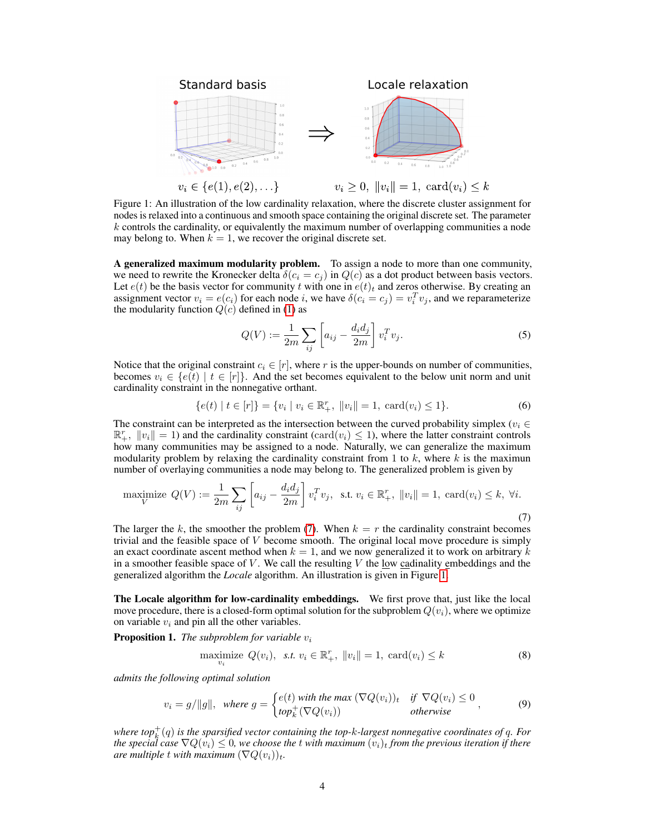<span id="page-3-1"></span>

Figure 1: An illustration of the low cardinality relaxation, where the discrete cluster assignment for nodes is relaxed into a continuous and smooth space containing the original discrete set. The parameter  $k$  controls the cardinality, or equivalently the maximum number of overlapping communities a node may belong to. When  $k = 1$ , we recover the original discrete set.

A generalized maximum modularity problem. To assign a node to more than one community, we need to rewrite the Kronecker delta  $\delta(c_i = c_j)$  in  $Q(c)$  as a dot product between basis vectors. Let  $e(t)$  be the basis vector for community t with one in  $e(t)_t$  and zeros otherwise. By creating an assignment vector  $v_i = e(c_i)$  for each node i, we have  $\delta(c_i = c_j) = v_i^T v_j$ , and we reparameterize the modularity function  $Q(c)$  defined in [\(1\)](#page-1-0) as

<span id="page-3-0"></span>
$$
Q(V) := \frac{1}{2m} \sum_{ij} \left[ a_{ij} - \frac{d_i d_j}{2m} \right] v_i^T v_j.
$$
 (5)

Notice that the original constraint  $c_i \in [r]$ , where r is the upper-bounds on number of communities, becomes  $v_i \in \{e(t) \mid t \in [r]\}\$ . And the set becomes equivalent to the below unit norm and unit cardinality constraint in the nonnegative orthant.

$$
\{e(t) \mid t \in [r]\} = \{v_i \mid v_i \in \mathbb{R}_+^r, \ \|v_i\| = 1, \ \text{card}(v_i) \le 1\}.
$$
 (6)

The constraint can be interpreted as the intersection between the curved probability simplex ( $v_i \in$  $\mathbb{R}^r_+$ ,  $||v_i|| = 1$ ) and the cardinality constraint (card $(v_i) \leq 1$ ), where the latter constraint controls how many communities may be assigned to a node. Naturally, we can generalize the maximum modularity problem by relaxing the cardinality constraint from 1 to  $k$ , where  $k$  is the maximun number of overlaying communities a node may belong to. The generalized problem is given by

maximize 
$$
Q(V) := \frac{1}{2m} \sum_{ij} \left[ a_{ij} - \frac{d_i d_j}{2m} \right] v_i^T v_j
$$
, s.t.  $v_i \in \mathbb{R}_+^r$ ,  $||v_i|| = 1$ ,  $card(v_i) \le k$ ,  $\forall i$ . (7)

The larger the k, the smoother the problem [\(7\)](#page-3-0). When  $k = r$  the cardinality constraint becomes trivial and the feasible space of  $V$  become smooth. The original local move procedure is simply an exact coordinate ascent method when  $k = 1$ , and we now generalized it to work on arbitrary k in a smoother feasible space of V. We call the resulting V the low cadinality embeddings and the generalized algorithm the *Locale* algorithm. An illustration is given in Figure [1.](#page-3-1)

The Locale algorithm for low-cardinality embeddings. We first prove that, just like the local move procedure, there is a closed-form optimal solution for the subproblem  $Q(v_i)$ , where we optimize on variable  $v_i$  and pin all the other variables.

Proposition 1. *The subproblem for variable*  $v_i$ 

<span id="page-3-2"></span>
$$
\underset{v_i}{\text{maximize}} Q(v_i), \ \text{s.t.} \ v_i \in \mathbb{R}_+^r, \ \|v_i\| = 1, \ \text{card}(v_i) \le k \tag{8}
$$

*admits the following optimal solution*

$$
v_i = g/\|g\|, \text{ where } g = \begin{cases} e(t) \text{ with the max } (\nabla Q(v_i))_t & \text{if } \nabla Q(v_i) \le 0 \\ top_k^+(\nabla Q(v_i)) & \text{otherwise} \end{cases}, \tag{9}
$$

*where top*<sup>+</sup> k (q) *is the sparsified vector containing the top-*k*-largest nonnegative coordinates of* q*. For the special case*  $\nabla Q(v_i) \leq 0$ , we choose the *t* with maximum  $(v_i)_t$  from the previous iteration if there *are multiple* t *with maximum*  $(\nabla Q(v_i))_t$ .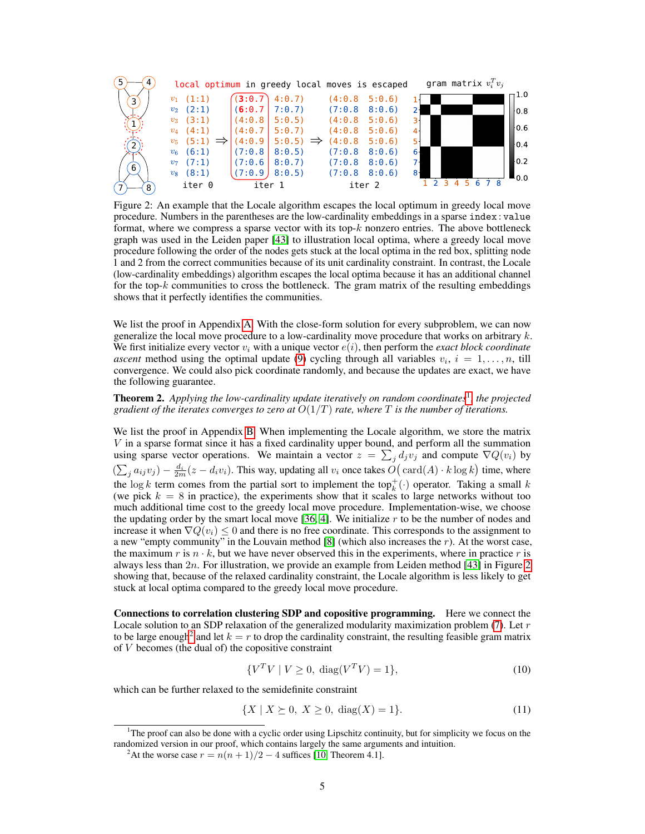<span id="page-4-1"></span>

Figure 2: An example that the Locale algorithm escapes the local optimum in greedy local move procedure. Numbers in the parentheses are the low-cardinality embeddings in a sparse index : value format, where we compress a sparse vector with its top- $k$  nonzero entries. The above bottleneck graph was used in the Leiden paper [\[43\]](#page-10-1) to illustration local optima, where a greedy local move procedure following the order of the nodes gets stuck at the local optima in the red box, splitting node 1 and 2 from the correct communities because of its unit cardinality constraint. In contrast, the Locale (low-cardinality embeddings) algorithm escapes the local optima because it has an additional channel for the top- $k$  communities to cross the bottleneck. The gram matrix of the resulting embeddings shows that it perfectly identifies the communities.

We list the proof in Appendix [A.](#page--1-0) With the close-form solution for every subproblem, we can now generalize the local move procedure to a low-cardinality move procedure that works on arbitrary  $k$ . We first initialize every vector  $v_i$  with a unique vector  $e(i)$ , then perform the *exact block coordinate ascent* method using the optimal update [\(9\)](#page-3-2) cycling through all variables  $v_i$ ,  $i = 1, \ldots, n$ , till convergence. We could also pick coordinate randomly, and because the updates are exact, we have the following guarantee.

**Theorem 2.** Applying the low-cardinality update iteratively on random coordinates<sup>[1](#page-4-0)</sup>, the projected *gradient of the iterates converges to zero at* O(1/T) *rate, where* T *is the number of iterations.*

We list the proof in Appendix [B.](#page--1-0) When implementing the Locale algorithm, we store the matrix V in a sparse format since it has a fixed cardinality upper bound, and perform all the summation using sparse vector operations. We maintain a vector  $z = \sum_j d_j v_j$  and compute  $\nabla Q(v_i)$  by  $(\sum_j a_{ij}v_j) - \frac{d_i}{2m}(z - d_i v_i)$ . This way, updating all  $v_i$  once takes  $O(\text{card}(A) \cdot k \log k)$  time, where the  $\log k$  term comes from the partial sort to implement the top<sup>+</sup><sub>k</sub>(·) operator. Taking a small k (we pick  $k = 8$  in practice), the experiments show that it scales to large networks without too much additional time cost to the greedy local move procedure. Implementation-wise, we choose the updating order by the smart local move  $[36, 4]$  $[36, 4]$  $[36, 4]$ . We initialize r to be the number of nodes and increase it when  $\nabla Q(v_i) \leq 0$  and there is no free coordinate. This corresponds to the assignment to a new "empty community" in the Louvain method  $[8]$  (which also increases the r). At the worst case, the maximum r is  $n \cdot k$ , but we have never observed this in the experiments, where in practice r is always less than  $2n$ . For illustration, we provide an example from Leiden method [\[43\]](#page-10-1) in Figure [2](#page-4-1) showing that, because of the relaxed cardinality constraint, the Locale algorithm is less likely to get stuck at local optima compared to the greedy local move procedure.

Connections to correlation clustering SDP and copositive programming. Here we connect the Locale solution to an SDP relaxation of the generalized modularity maximization problem  $(7)$ . Let r to be large enough<sup>[2](#page-4-2)</sup> and let  $k = r$  to drop the cardinality constraint, the resulting feasible gram matrix of V becomes (the dual of) the copositive constraint

$$
\{V^T V \mid V \ge 0, \text{ diag}(V^T V) = 1\},\tag{10}
$$

which can be further relaxed to the semidefinite constraint

$$
\{X \mid X \succeq 0, X \ge 0, \text{ diag}(X) = 1\}.
$$
\n(11)

<span id="page-4-0"></span><sup>1</sup>The proof can also be done with a cyclic order using Lipschitz continuity, but for simplicity we focus on the randomized version in our proof, which contains largely the same arguments and intuition.

<span id="page-4-2"></span><sup>&</sup>lt;sup>2</sup>At the worse case  $r = n(n+1)/2 - 4$  suffices [\[10,](#page-9-15) Theorem 4.1].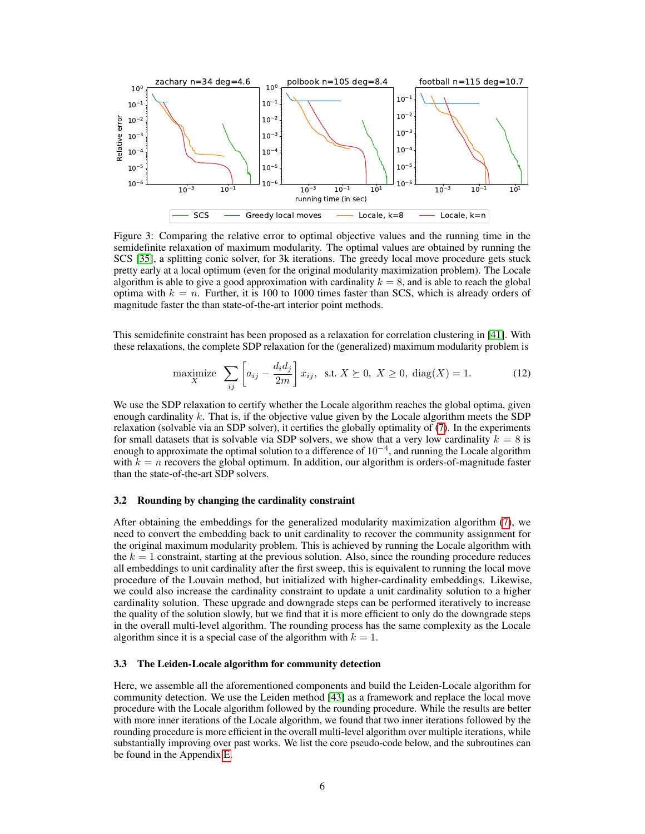<span id="page-5-1"></span>

Figure 3: Comparing the relative error to optimal objective values and the running time in the semidefinite relaxation of maximum modularity. The optimal values are obtained by running the SCS [\[35\]](#page-10-17), a splitting conic solver, for 3k iterations. The greedy local move procedure gets stuck pretty early at a local optimum (even for the original modularity maximization problem). The Locale algorithm is able to give a good approximation with cardinality  $k = 8$ , and is able to reach the global optima with  $k = n$ . Further, it is 100 to 1000 times faster than SCS, which is already orders of magnitude faster the than state-of-the-art interior point methods.

This semidefinite constraint has been proposed as a relaxation for correlation clustering in [\[41\]](#page-10-13). With these relaxations, the complete SDP relaxation for the (generalized) maximum modularity problem is

<span id="page-5-0"></span>
$$
\underset{X}{\text{maximize}} \quad \sum_{ij} \left[ a_{ij} - \frac{d_i d_j}{2m} \right] x_{ij}, \quad \text{s.t.} \quad X \succeq 0, \quad X \geq 0, \quad \text{diag}(X) = 1. \tag{12}
$$

We use the SDP relaxation to certify whether the Locale algorithm reaches the global optima, given enough cardinality  $k$ . That is, if the objective value given by the Locale algorithm meets the SDP relaxation (solvable via an SDP solver), it certifies the globally optimality of [\(7\)](#page-3-0). In the experiments for small datasets that is solvable via SDP solvers, we show that a very low cardinality  $k = 8$  is enough to approximate the optimal solution to a difference of 10<sup>−</sup><sup>4</sup> , and running the Locale algorithm with  $k = n$  recovers the global optimum. In addition, our algorithm is orders-of-magnitude faster than the state-of-the-art SDP solvers.

#### 3.2 Rounding by changing the cardinality constraint

After obtaining the embeddings for the generalized modularity maximization algorithm [\(7\)](#page-3-0), we need to convert the embedding back to unit cardinality to recover the community assignment for the original maximum modularity problem. This is achieved by running the Locale algorithm with the  $k = 1$  constraint, starting at the previous solution. Also, since the rounding procedure reduces all embeddings to unit cardinality after the first sweep, this is equivalent to running the local move procedure of the Louvain method, but initialized with higher-cardinality embeddings. Likewise, we could also increase the cardinality constraint to update a unit cardinality solution to a higher cardinality solution. These upgrade and downgrade steps can be performed iteratively to increase the quality of the solution slowly, but we find that it is more efficient to only do the downgrade steps in the overall multi-level algorithm. The rounding process has the same complexity as the Locale algorithm since it is a special case of the algorithm with  $k = 1$ .

#### 3.3 The Leiden-Locale algorithm for community detection

Here, we assemble all the aforementioned components and build the Leiden-Locale algorithm for community detection. We use the Leiden method [\[43\]](#page-10-1) as a framework and replace the local move procedure with the Locale algorithm followed by the rounding procedure. While the results are better with more inner iterations of the Locale algorithm, we found that two inner iterations followed by the rounding procedure is more efficient in the overall multi-level algorithm over multiple iterations, while substantially improving over past works. We list the core pseudo-code below, and the subroutines can be found in the Appendix [E.](#page--1-0)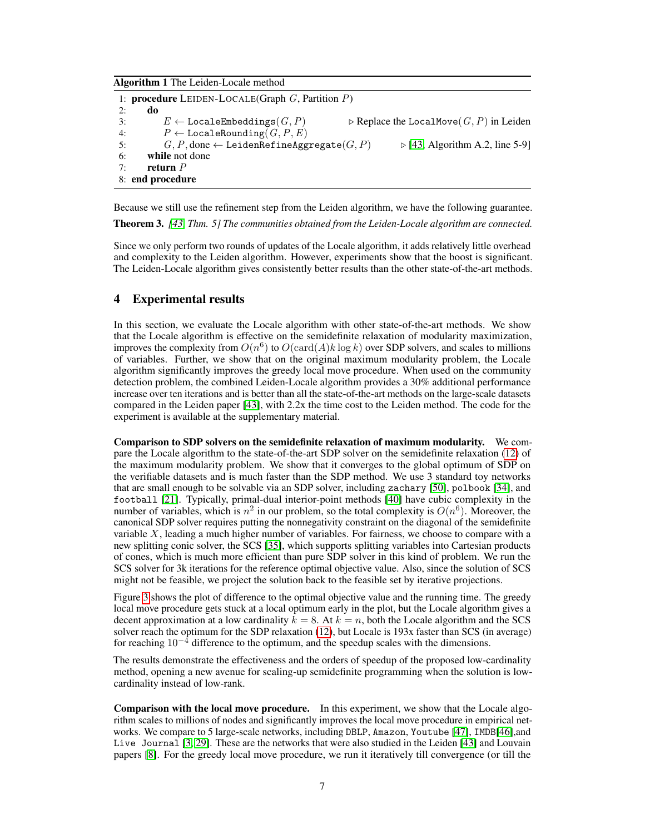Algorithm 1 The Leiden-Locale method

```
1: procedure LEIDEN-LOCALE(Graph G, Partition P)
2: do
3: E \leftarrow \text{Local} \in \text{Embeddings}(G, P) \triangleright Replace the LocalMove(G, P) in Leiden
4: P \leftarrow \text{LocaleRounding}(G, P, E)<br>5: G, P, \text{done} \leftarrow \text{LeidenRefineAgg}G, P, done ← LeidenRefineAggregate(G, P) \rightarrow[43, Algorithm A.2, line 5-9]
6: while not done<br>7: return Preturn P8: end procedure
```
Because we still use the refinement step from the Leiden algorithm, we have the following guarantee. Theorem 3. *[\[43,](#page-10-1) Thm. 5] The communities obtained from the Leiden-Locale algorithm are connected.*

Since we only perform two rounds of updates of the Locale algorithm, it adds relatively little overhead and complexity to the Leiden algorithm. However, experiments show that the boost is significant. The Leiden-Locale algorithm gives consistently better results than the other state-of-the-art methods.

## 4 Experimental results

In this section, we evaluate the Locale algorithm with other state-of-the-art methods. We show that the Locale algorithm is effective on the semidefinite relaxation of modularity maximization, improves the complexity from  $O(n^6)$  to  $O(\text{card}(A)k \log k)$  over SDP solvers, and scales to millions of variables. Further, we show that on the original maximum modularity problem, the Locale algorithm significantly improves the greedy local move procedure. When used on the community detection problem, the combined Leiden-Locale algorithm provides a 30% additional performance increase over ten iterations and is better than all the state-of-the-art methods on the large-scale datasets compared in the Leiden paper [\[43\]](#page-10-1), with 2.2x the time cost to the Leiden method. The code for the experiment is available at the supplementary material.

Comparison to SDP solvers on the semidefinite relaxation of maximum modularity. We compare the Locale algorithm to the state-of-the-art SDP solver on the semidefinite relaxation [\(12\)](#page-5-0) of the maximum modularity problem. We show that it converges to the global optimum of SDP on the verifiable datasets and is much faster than the SDP method. We use 3 standard toy networks that are small enough to be solvable via an SDP solver, including zachary [\[50\]](#page-11-4), polbook [\[34\]](#page-10-0), and football [\[21\]](#page-9-16). Typically, primal-dual interior-point methods [\[40\]](#page-10-18) have cubic complexity in the number of variables, which is  $n^2$  in our problem, so the total complexity is  $O(n^6)$ . Moreover, the canonical SDP solver requires putting the nonnegativity constraint on the diagonal of the semidefinite variable  $X$ , leading a much higher number of variables. For fairness, we choose to compare with a new splitting conic solver, the SCS [\[35\]](#page-10-17), which supports splitting variables into Cartesian products of cones, which is much more efficient than pure SDP solver in this kind of problem. We run the SCS solver for 3k iterations for the reference optimal objective value. Also, since the solution of SCS might not be feasible, we project the solution back to the feasible set by iterative projections.

Figure [3](#page-5-1) shows the plot of difference to the optimal objective value and the running time. The greedy local move procedure gets stuck at a local optimum early in the plot, but the Locale algorithm gives a decent approximation at a low cardinality  $k = 8$ . At  $k = n$ , both the Locale algorithm and the SCS solver reach the optimum for the SDP relaxation [\(12\)](#page-5-0), but Locale is 193x faster than SCS (in average) for reaching  $10^{-4}$  difference to the optimum, and the speedup scales with the dimensions.

The results demonstrate the effectiveness and the orders of speedup of the proposed low-cardinality method, opening a new avenue for scaling-up semidefinite programming when the solution is lowcardinality instead of low-rank.

Comparison with the local move procedure. In this experiment, we show that the Locale algorithm scales to millions of nodes and significantly improves the local move procedure in empirical networks. We compare to 5 large-scale networks, including DBLP, Amazon, Youtube [\[47\]](#page-11-5), IMDB[\[46\]](#page-11-6),and Live Journal [\[3,](#page-9-17) [29\]](#page-10-19). These are the networks that were also studied in the Leiden [\[43\]](#page-10-1) and Louvain papers [\[8\]](#page-9-1). For the greedy local move procedure, we run it iteratively till convergence (or till the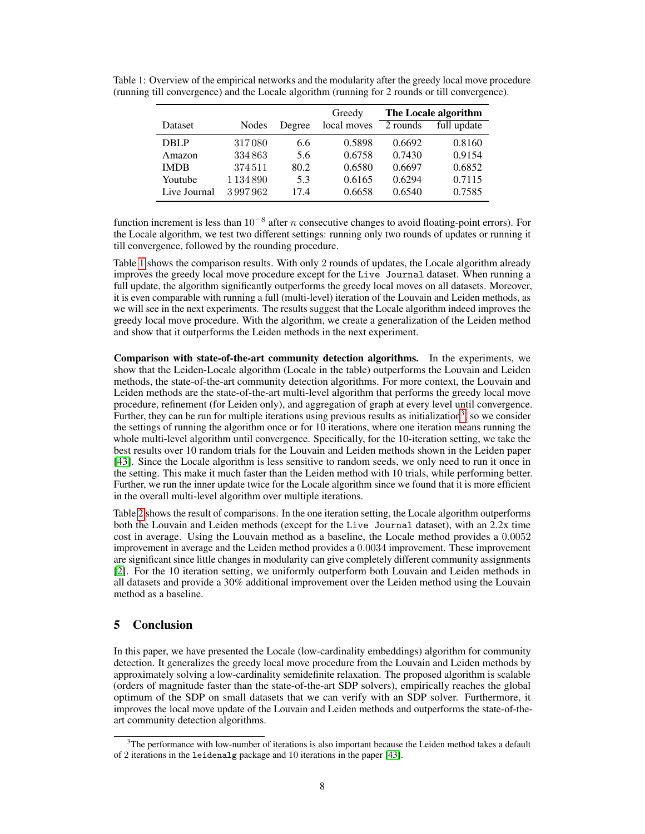|              |               |        | Greedy      | The Locale algorithm |             |  |
|--------------|---------------|--------|-------------|----------------------|-------------|--|
| Dataset      | Nodes         | Degree | local moves | 2 rounds             | full update |  |
| <b>DBLP</b>  | 317080        | 6.6    | 0.5898      | 0.6692               | 0.8160      |  |
| Amazon       | 334863        | 5.6    | 0.6758      | 0.7430               | 0.9154      |  |
| <b>IMDB</b>  | 374511        | 80.2   | 0.6580      | 0.6697               | 0.6852      |  |
| Youtube      | 1 1 3 4 8 9 0 | 5.3    | 0.6165      | 0.6294               | 0.7115      |  |
| Live Journal | 3997962       | 17.4   | 0.6658      | 0.6540               | 0.7585      |  |

<span id="page-7-0"></span>Table 1: Overview of the empirical networks and the modularity after the greedy local move procedure (running till convergence) and the Locale algorithm (running for 2 rounds or till convergence).

function increment is less than  $10^{-8}$  after n consecutive changes to avoid floating-point errors). For the Locale algorithm, we test two different settings: running only two rounds of updates or running it till convergence, followed by the rounding procedure.

Table [1](#page-7-0) shows the comparison results. With only 2 rounds of updates, the Locale algorithm already improves the greedy local move procedure except for the Live Journal dataset. When running a full update, the algorithm significantly outperforms the greedy local moves on all datasets. Moreover, it is even comparable with running a full (multi-level) iteration of the Louvain and Leiden methods, as we will see in the next experiments. The results suggest that the Locale algorithm indeed improves the greedy local move procedure. With the algorithm, we create a generalization of the Leiden method and show that it outperforms the Leiden methods in the next experiment.

Comparison with state-of-the-art community detection algorithms. In the experiments, we show that the Leiden-Locale algorithm (Locale in the table) outperforms the Louvain and Leiden methods, the state-of-the-art community detection algorithms. For more context, the Louvain and Leiden methods are the state-of-the-art multi-level algorithm that performs the greedy local move procedure, refinement (for Leiden only), and aggregation of graph at every level until convergence. Further, they can be run for multiple iterations using previous results as initialization<sup>[3](#page-7-1)</sup>, so we consider the settings of running the algorithm once or for 10 iterations, where one iteration means running the whole multi-level algorithm until convergence. Specifically, for the 10-iteration setting, we take the best results over 10 random trials for the Louvain and Leiden methods shown in the Leiden paper [\[43\]](#page-10-1). Since the Locale algorithm is less sensitive to random seeds, we only need to run it once in the setting. This make it much faster than the Leiden method with 10 trials, while performing better. Further, we run the inner update twice for the Locale algorithm since we found that it is more efficient in the overall multi-level algorithm over multiple iterations.

Table [2](#page-8-0) shows the result of comparisons. In the one iteration setting, the Locale algorithm outperforms both the Louvain and Leiden methods (except for the Live Journal dataset), with an 2.2x time cost in average. Using the Louvain method as a baseline, the Locale method provides a 0.0052 improvement in average and the Leiden method provides a 0.0034 improvement. These improvement are significant since little changes in modularity can give completely different community assignments [\[2\]](#page-9-3). For the 10 iteration setting, we uniformly outperform both Louvain and Leiden methods in all datasets and provide a 30% additional improvement over the Leiden method using the Louvain method as a baseline.

# 5 Conclusion

In this paper, we have presented the Locale (low-cardinality embeddings) algorithm for community detection. It generalizes the greedy local move procedure from the Louvain and Leiden methods by approximately solving a low-cardinality semidefinite relaxation. The proposed algorithm is scalable (orders of magnitude faster than the state-of-the-art SDP solvers), empirically reaches the global optimum of the SDP on small datasets that we can verify with an SDP solver. Furthermore, it improves the local move update of the Louvain and Leiden methods and outperforms the state-of-theart community detection algorithms.

<span id="page-7-1"></span> $3$ The performance with low-number of iterations is also important because the Leiden method takes a default of 2 iterations in the leidenalg package and 10 iterations in the paper [\[43\]](#page-10-1).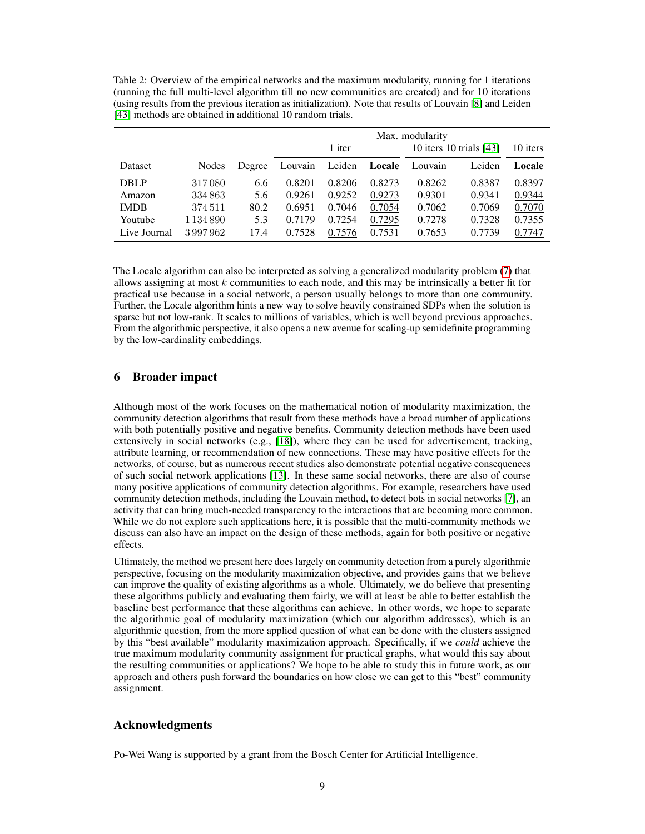<span id="page-8-0"></span>Table 2: Overview of the empirical networks and the maximum modularity, running for 1 iterations (running the full multi-level algorithm till no new communities are created) and for 10 iterations (using results from the previous iteration as initialization). Note that results of Louvain [\[8\]](#page-9-1) and Leiden [\[43\]](#page-10-1) methods are obtained in additional 10 random trials.

|              |               |        | Max. modularity |        |        |                           |        |          |  |
|--------------|---------------|--------|-----------------|--------|--------|---------------------------|--------|----------|--|
|              |               |        | 1 iter          |        |        | 10 iters 10 trials $[43]$ |        | 10 iters |  |
| Dataset      | Nodes         | Degree | Louvain         | Leiden | Locale | Louvain                   | Leiden | Locale   |  |
| <b>DBLP</b>  | 317080        | 6.6    | 0.8201          | 0.8206 | 0.8273 | 0.8262                    | 0.8387 | 0.8397   |  |
| Amazon       | 334863        | 5.6    | 0.9261          | 0.9252 | 0.9273 | 0.9301                    | 0.9341 | 0.9344   |  |
| <b>IMDB</b>  | 374511        | 80.2   | 0.6951          | 0.7046 | 0.7054 | 0.7062                    | 0.7069 | 0.7070   |  |
| Youtube      | 1 1 3 4 8 9 0 | 5.3    | 0.7179          | 0.7254 | 0.7295 | 0.7278                    | 0.7328 | 0.7355   |  |
| Live Journal | 3997962       | 17.4   | 0.7528          | 0.7576 | 0.7531 | 0.7653                    | 0.7739 | 0.7747   |  |

The Locale algorithm can also be interpreted as solving a generalized modularity problem [\(7\)](#page-3-0) that allows assigning at most  $k$  communities to each node, and this may be intrinsically a better fit for practical use because in a social network, a person usually belongs to more than one community. Further, the Locale algorithm hints a new way to solve heavily constrained SDPs when the solution is sparse but not low-rank. It scales to millions of variables, which is well beyond previous approaches. From the algorithmic perspective, it also opens a new avenue for scaling-up semidefinite programming by the low-cardinality embeddings.

## 6 Broader impact

Although most of the work focuses on the mathematical notion of modularity maximization, the community detection algorithms that result from these methods have a broad number of applications with both potentially positive and negative benefits. Community detection methods have been used extensively in social networks (e.g., [\[18\]](#page-9-18)), where they can be used for advertisement, tracking, attribute learning, or recommendation of new connections. These may have positive effects for the networks, of course, but as numerous recent studies also demonstrate potential negative consequences of such social network applications [\[13\]](#page-9-19). In these same social networks, there are also of course many positive applications of community detection algorithms. For example, researchers have used community detection methods, including the Louvain method, to detect bots in social networks [\[7\]](#page-9-20), an activity that can bring much-needed transparency to the interactions that are becoming more common. While we do not explore such applications here, it is possible that the multi-community methods we discuss can also have an impact on the design of these methods, again for both positive or negative effects.

Ultimately, the method we present here does largely on community detection from a purely algorithmic perspective, focusing on the modularity maximization objective, and provides gains that we believe can improve the quality of existing algorithms as a whole. Ultimately, we do believe that presenting these algorithms publicly and evaluating them fairly, we will at least be able to better establish the baseline best performance that these algorithms can achieve. In other words, we hope to separate the algorithmic goal of modularity maximization (which our algorithm addresses), which is an algorithmic question, from the more applied question of what can be done with the clusters assigned by this "best available" modularity maximization approach. Specifically, if we *could* achieve the true maximum modularity community assignment for practical graphs, what would this say about the resulting communities or applications? We hope to be able to study this in future work, as our approach and others push forward the boundaries on how close we can get to this "best" community assignment.

# Acknowledgments

Po-Wei Wang is supported by a grant from the Bosch Center for Artificial Intelligence.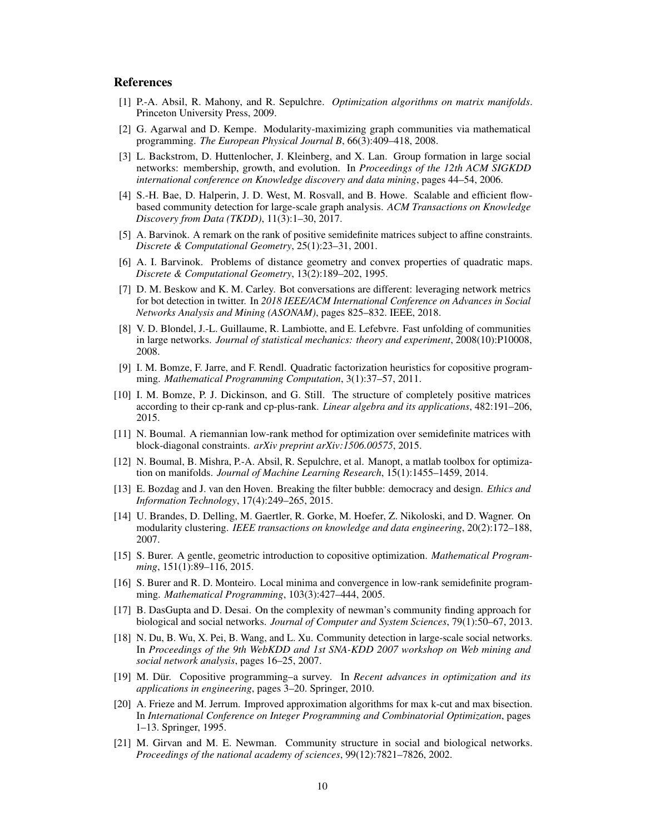## References

- <span id="page-9-5"></span>[1] P.-A. Absil, R. Mahony, and R. Sepulchre. *Optimization algorithms on matrix manifolds*. Princeton University Press, 2009.
- <span id="page-9-3"></span>[2] G. Agarwal and D. Kempe. Modularity-maximizing graph communities via mathematical programming. *The European Physical Journal B*, 66(3):409–418, 2008.
- <span id="page-9-17"></span>[3] L. Backstrom, D. Huttenlocher, J. Kleinberg, and X. Lan. Group formation in large social networks: membership, growth, and evolution. In *Proceedings of the 12th ACM SIGKDD international conference on Knowledge discovery and data mining*, pages 44–54, 2006.
- <span id="page-9-6"></span>[4] S.-H. Bae, D. Halperin, J. D. West, M. Rosvall, and B. Howe. Scalable and efficient flowbased community detection for large-scale graph analysis. *ACM Transactions on Knowledge Discovery from Data (TKDD)*, 11(3):1–30, 2017.
- <span id="page-9-9"></span>[5] A. Barvinok. A remark on the rank of positive semidefinite matrices subject to affine constraints. *Discrete & Computational Geometry*, 25(1):23–31, 2001.
- <span id="page-9-8"></span>[6] A. I. Barvinok. Problems of distance geometry and convex properties of quadratic maps. *Discrete & Computational Geometry*, 13(2):189–202, 1995.
- <span id="page-9-20"></span>[7] D. M. Beskow and K. M. Carley. Bot conversations are different: leveraging network metrics for bot detection in twitter. In *2018 IEEE/ACM International Conference on Advances in Social Networks Analysis and Mining (ASONAM)*, pages 825–832. IEEE, 2018.
- <span id="page-9-1"></span>[8] V. D. Blondel, J.-L. Guillaume, R. Lambiotte, and E. Lefebvre. Fast unfolding of communities in large networks. *Journal of statistical mechanics: theory and experiment*, 2008(10):P10008, 2008.
- <span id="page-9-14"></span>[9] I. M. Bomze, F. Jarre, and F. Rendl. Quadratic factorization heuristics for copositive programming. *Mathematical Programming Computation*, 3(1):37–57, 2011.
- <span id="page-9-15"></span>[10] I. M. Bomze, P. J. Dickinson, and G. Still. The structure of completely positive matrices according to their cp-rank and cp-plus-rank. *Linear algebra and its applications*, 482:191–206, 2015.
- <span id="page-9-11"></span>[11] N. Boumal. A riemannian low-rank method for optimization over semidefinite matrices with block-diagonal constraints. *arXiv preprint arXiv:1506.00575*, 2015.
- <span id="page-9-10"></span>[12] N. Boumal, B. Mishra, P.-A. Absil, R. Sepulchre, et al. Manopt, a matlab toolbox for optimization on manifolds. *Journal of Machine Learning Research*, 15(1):1455–1459, 2014.
- <span id="page-9-19"></span>[13] E. Bozdag and J. van den Hoven. Breaking the filter bubble: democracy and design. *Ethics and Information Technology*, 17(4):249–265, 2015.
- <span id="page-9-0"></span>[14] U. Brandes, D. Delling, M. Gaertler, R. Gorke, M. Hoefer, Z. Nikoloski, and D. Wagner. On modularity clustering. *IEEE transactions on knowledge and data engineering*, 20(2):172–188, 2007.
- <span id="page-9-13"></span>[15] S. Burer. A gentle, geometric introduction to copositive optimization. *Mathematical Programming*, 151(1):89–116, 2015.
- <span id="page-9-4"></span>[16] S. Burer and R. D. Monteiro. Local minima and convergence in low-rank semidefinite programming. *Mathematical Programming*, 103(3):427–444, 2005.
- <span id="page-9-7"></span>[17] B. DasGupta and D. Desai. On the complexity of newman's community finding approach for biological and social networks. *Journal of Computer and System Sciences*, 79(1):50–67, 2013.
- <span id="page-9-18"></span>[18] N. Du, B. Wu, X. Pei, B. Wang, and L. Xu. Community detection in large-scale social networks. In *Proceedings of the 9th WebKDD and 1st SNA-KDD 2007 workshop on Web mining and social network analysis*, pages 16–25, 2007.
- <span id="page-9-12"></span>[19] M. Dür. Copositive programming–a survey. In *Recent advances in optimization and its applications in engineering*, pages 3–20. Springer, 2010.
- <span id="page-9-2"></span>[20] A. Frieze and M. Jerrum. Improved approximation algorithms for max k-cut and max bisection. In *International Conference on Integer Programming and Combinatorial Optimization*, pages 1–13. Springer, 1995.
- <span id="page-9-16"></span>[21] M. Girvan and M. E. Newman. Community structure in social and biological networks. *Proceedings of the national academy of sciences*, 99(12):7821–7826, 2002.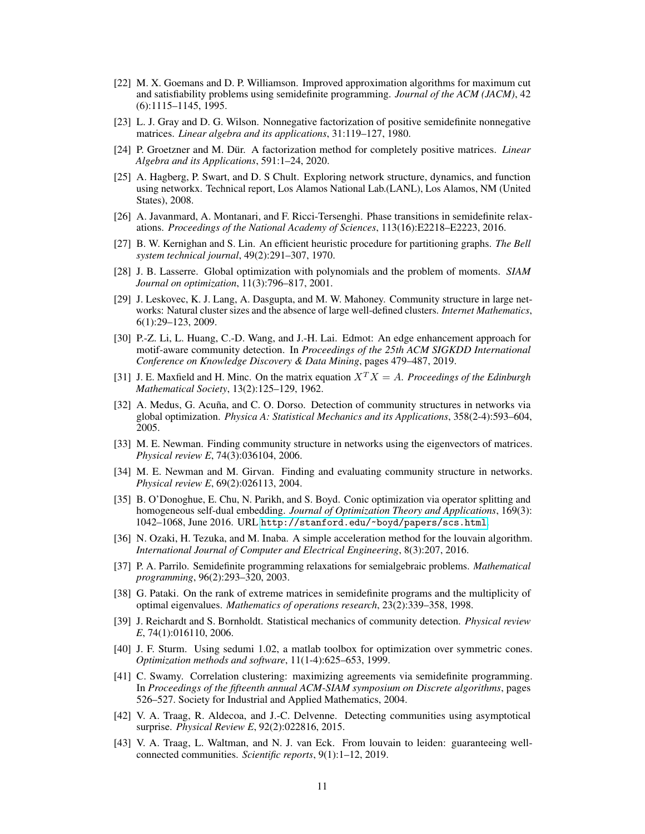- <span id="page-10-2"></span>[22] M. X. Goemans and D. P. Williamson. Improved approximation algorithms for maximum cut and satisfiability problems using semidefinite programming. *Journal of the ACM (JACM)*, 42 (6):1115–1145, 1995.
- <span id="page-10-15"></span>[23] L. J. Gray and D. G. Wilson. Nonnegative factorization of positive semidefinite nonnegative matrices. *Linear algebra and its applications*, 31:119–127, 1980.
- <span id="page-10-16"></span>[24] P. Groetzner and M. Dür. A factorization method for completely positive matrices. *Linear Algebra and its Applications*, 591:1–24, 2020.
- [25] A. Hagberg, P. Swart, and D. S Chult. Exploring network structure, dynamics, and function using networkx. Technical report, Los Alamos National Lab.(LANL), Los Alamos, NM (United States), 2008.
- <span id="page-10-6"></span>[26] A. Javanmard, A. Montanari, and F. Ricci-Tersenghi. Phase transitions in semidefinite relaxations. *Proceedings of the National Academy of Sciences*, 113(16):E2218–E2223, 2016.
- <span id="page-10-7"></span>[27] B. W. Kernighan and S. Lin. An efficient heuristic procedure for partitioning graphs. *The Bell system technical journal*, 49(2):291–307, 1970.
- <span id="page-10-11"></span>[28] J. B. Lasserre. Global optimization with polynomials and the problem of moments. *SIAM Journal on optimization*, 11(3):796–817, 2001.
- <span id="page-10-19"></span>[29] J. Leskovec, K. J. Lang, A. Dasgupta, and M. W. Mahoney. Community structure in large networks: Natural cluster sizes and the absence of large well-defined clusters. *Internet Mathematics*, 6(1):29–123, 2009.
- <span id="page-10-10"></span>[30] P.-Z. Li, L. Huang, C.-D. Wang, and J.-H. Lai. Edmot: An edge enhancement approach for motif-aware community detection. In *Proceedings of the 25th ACM SIGKDD International Conference on Knowledge Discovery & Data Mining*, pages 479–487, 2019.
- <span id="page-10-14"></span>[31] J. E. Maxfield and H. Minc. On the matrix equation  $X^T X = A$ . *Proceedings of the Edinburgh Mathematical Society*, 13(2):125–129, 1962.
- [32] A. Medus, G. Acuña, and C. O. Dorso. Detection of community structures in networks via global optimization. *Physica A: Statistical Mechanics and its Applications*, 358(2-4):593–604, 2005.
- <span id="page-10-4"></span>[33] M. E. Newman. Finding community structure in networks using the eigenvectors of matrices. *Physical review E*, 74(3):036104, 2006.
- <span id="page-10-0"></span>[34] M. E. Newman and M. Girvan. Finding and evaluating community structure in networks. *Physical review E*, 69(2):026113, 2004.
- <span id="page-10-17"></span>[35] B. O'Donoghue, E. Chu, N. Parikh, and S. Boyd. Conic optimization via operator splitting and homogeneous self-dual embedding. *Journal of Optimization Theory and Applications*, 169(3): 1042–1068, June 2016. URL <http://stanford.edu/~boyd/papers/scs.html>.
- <span id="page-10-8"></span>[36] N. Ozaki, H. Tezuka, and M. Inaba. A simple acceleration method for the louvain algorithm. *International Journal of Computer and Electrical Engineering*, 8(3):207, 2016.
- <span id="page-10-12"></span>[37] P. A. Parrilo. Semidefinite programming relaxations for semialgebraic problems. *Mathematical programming*, 96(2):293–320, 2003.
- <span id="page-10-3"></span>[38] G. Pataki. On the rank of extreme matrices in semidefinite programs and the multiplicity of optimal eigenvalues. *Mathematics of operations research*, 23(2):339–358, 1998.
- <span id="page-10-5"></span>[39] J. Reichardt and S. Bornholdt. Statistical mechanics of community detection. *Physical review E*, 74(1):016110, 2006.
- <span id="page-10-18"></span>[40] J. F. Sturm. Using sedumi 1.02, a matlab toolbox for optimization over symmetric cones. *Optimization methods and software*, 11(1-4):625–653, 1999.
- <span id="page-10-13"></span>[41] C. Swamy. Correlation clustering: maximizing agreements via semidefinite programming. In *Proceedings of the fifteenth annual ACM-SIAM symposium on Discrete algorithms*, pages 526–527. Society for Industrial and Applied Mathematics, 2004.
- <span id="page-10-9"></span>[42] V. A. Traag, R. Aldecoa, and J.-C. Delvenne. Detecting communities using asymptotical surprise. *Physical Review E*, 92(2):022816, 2015.
- <span id="page-10-1"></span>[43] V. A. Traag, L. Waltman, and N. J. van Eck. From louvain to leiden: guaranteeing wellconnected communities. *Scientific reports*, 9(1):1–12, 2019.